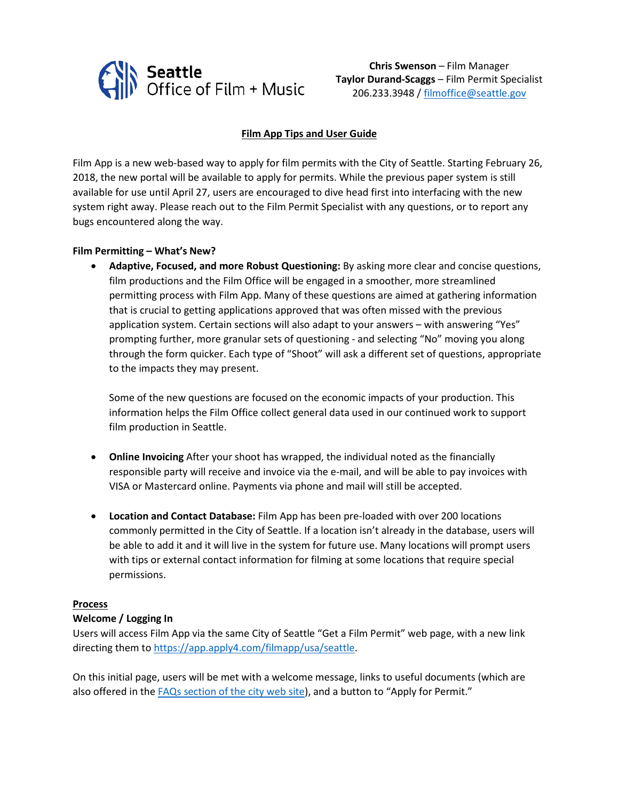

**Chris Swenson** – Film Manager **Taylor Durand-Scaggs** – Film Permit Specialist 206.233.3948 / [filmoffice@seattle.gov](mailto:filmoffice@seattle.gov)

# **Film App Tips and User Guide**

Film App is a new web-based way to apply for film permits with the City of Seattle. Starting February 26, 2018, the new portal will be available to apply for permits. While the previous paper system is still available for use until April 27, users are encouraged to dive head first into interfacing with the new system right away. Please reach out to the Film Permit Specialist with any questions, or to report any bugs encountered along the way.

#### **Film Permitting – What's New?**

• **Adaptive, Focused, and more Robust Questioning:** By asking more clear and concise questions, film productions and the Film Office will be engaged in a smoother, more streamlined permitting process with Film App. Many of these questions are aimed at gathering information that is crucial to getting applications approved that was often missed with the previous application system. Certain sections will also adapt to your answers – with answering "Yes" prompting further, more granular sets of questioning - and selecting "No" moving you along through the form quicker. Each type of "Shoot" will ask a different set of questions, appropriate to the impacts they may present.

Some of the new questions are focused on the economic impacts of your production. This information helps the Film Office collect general data used in our continued work to support film production in Seattle.

- **Online Invoicing** After your shoot has wrapped, the individual noted as the financially responsible party will receive and invoice via the e-mail, and will be able to pay invoices with VISA or Mastercard online. Payments via phone and mail will still be accepted.
- **Location and Contact Database:** Film App has been pre-loaded with over 200 locations commonly permitted in the City of Seattle. If a location isn't already in the database, users will be able to add it and it will live in the system for future use. Many locations will prompt users with tips or external contact information for filming at some locations that require special permissions.

#### **Process**

### **Welcome / Logging In**

Users will access Film App via the same City of Seattle "Get a Film Permit" web page, with a new link directing them to [https://app.apply4.com/filmapp/usa/seattle.](https://app.apply4.com/filmapp/usa/seattle)

On this initial page, users will be met with a welcome message, links to useful documents (which are also offered in the [FAQs section of the city web site\)](http://www.seattle.gov/filmandmusic/film/film-faq), and a button to "Apply for Permit."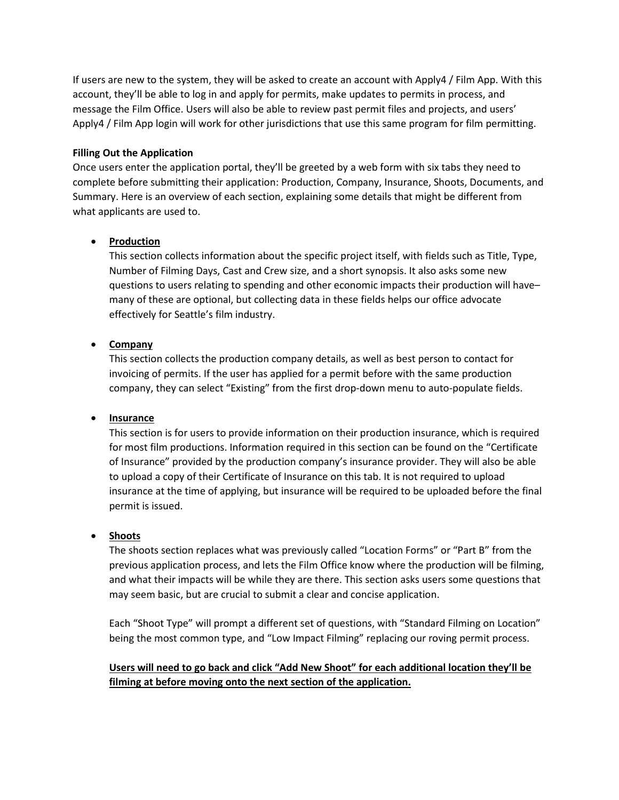If users are new to the system, they will be asked to create an account with Apply4 / Film App. With this account, they'll be able to log in and apply for permits, make updates to permits in process, and message the Film Office. Users will also be able to review past permit files and projects, and users' Apply4 / Film App login will work for other jurisdictions that use this same program for film permitting.

### **Filling Out the Application**

Once users enter the application portal, they'll be greeted by a web form with six tabs they need to complete before submitting their application: Production, Company, Insurance, Shoots, Documents, and Summary. Here is an overview of each section, explaining some details that might be different from what applicants are used to.

### • **Production**

This section collects information about the specific project itself, with fields such as Title, Type, Number of Filming Days, Cast and Crew size, and a short synopsis. It also asks some new questions to users relating to spending and other economic impacts their production will have– many of these are optional, but collecting data in these fields helps our office advocate effectively for Seattle's film industry.

# • **Company**

This section collects the production company details, as well as best person to contact for invoicing of permits. If the user has applied for a permit before with the same production company, they can select "Existing" from the first drop-down menu to auto-populate fields.

### • **Insurance**

This section is for users to provide information on their production insurance, which is required for most film productions. Information required in this section can be found on the "Certificate of Insurance" provided by the production company's insurance provider. They will also be able to upload a copy of their Certificate of Insurance on this tab. It is not required to upload insurance at the time of applying, but insurance will be required to be uploaded before the final permit is issued.

### • **Shoots**

The shoots section replaces what was previously called "Location Forms" or "Part B" from the previous application process, and lets the Film Office know where the production will be filming, and what their impacts will be while they are there. This section asks users some questions that may seem basic, but are crucial to submit a clear and concise application.

Each "Shoot Type" will prompt a different set of questions, with "Standard Filming on Location" being the most common type, and "Low Impact Filming" replacing our roving permit process.

# **Users will need to go back and click "Add New Shoot" for each additional location they'll be filming at before moving onto the next section of the application.**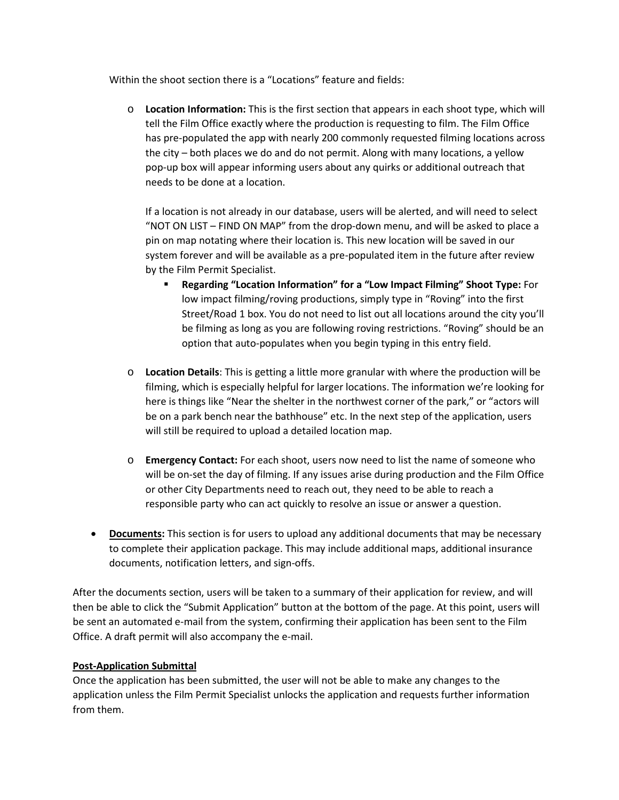Within the shoot section there is a "Locations" feature and fields:

o **Location Information:** This is the first section that appears in each shoot type, which will tell the Film Office exactly where the production is requesting to film. The Film Office has pre-populated the app with nearly 200 commonly requested filming locations across the city – both places we do and do not permit. Along with many locations, a yellow pop-up box will appear informing users about any quirks or additional outreach that needs to be done at a location.

If a location is not already in our database, users will be alerted, and will need to select "NOT ON LIST – FIND ON MAP" from the drop-down menu, and will be asked to place a pin on map notating where their location is. This new location will be saved in our system forever and will be available as a pre-populated item in the future after review by the Film Permit Specialist.

- **Regarding "Location Information" for a "Low Impact Filming" Shoot Type:** For low impact filming/roving productions, simply type in "Roving" into the first Street/Road 1 box. You do not need to list out all locations around the city you'll be filming as long as you are following roving restrictions. "Roving" should be an option that auto-populates when you begin typing in this entry field.
- o **Location Details**: This is getting a little more granular with where the production will be filming, which is especially helpful for larger locations. The information we're looking for here is things like "Near the shelter in the northwest corner of the park," or "actors will be on a park bench near the bathhouse" etc. In the next step of the application, users will still be required to upload a detailed location map.
- o **Emergency Contact:** For each shoot, users now need to list the name of someone who will be on-set the day of filming. If any issues arise during production and the Film Office or other City Departments need to reach out, they need to be able to reach a responsible party who can act quickly to resolve an issue or answer a question.
- **Documents:** This section is for users to upload any additional documents that may be necessary to complete their application package. This may include additional maps, additional insurance documents, notification letters, and sign-offs.

After the documents section, users will be taken to a summary of their application for review, and will then be able to click the "Submit Application" button at the bottom of the page. At this point, users will be sent an automated e-mail from the system, confirming their application has been sent to the Film Office. A draft permit will also accompany the e-mail.

# **Post-Application Submittal**

Once the application has been submitted, the user will not be able to make any changes to the application unless the Film Permit Specialist unlocks the application and requests further information from them.